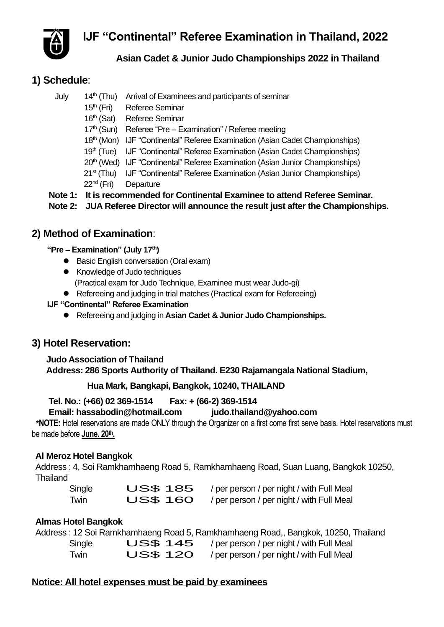**IJF "Continental" Referee Examination in Thailand, 2022**



### **Asian Cadet & Junior Judo Championships 2022 in Thailand**

## **1) Schedule**:

- July 14<sup>th</sup> (Thu) Arrival of Examinees and participants of seminar
	- 15<sup>th</sup> (Fri) Referee Seminar
	- 16<sup>th</sup> (Sat) Referee Seminar
	- 17<sup>th</sup> (Sun) Referee "Pre Examination" / Referee meeting
	- 18th (Mon) IJF "Continental" Referee Examination (Asian Cadet Championships)
	- 19th (Tue) IJF "Continental" Referee Examination (Asian Cadet Championships)
	- 20<sup>th</sup> (Wed) IJF "Continental" Referee Examination (Asian Junior Championships)
	- 21<sup>st</sup> (Thu) IJF "Continental" Referee Examination (Asian Junior Championships)
	- 22nd (Fri) Departure
- **Note 1: It is recommended for Continental Examinee to attend Referee Seminar.**

 **Note 2: JUA Referee Director will announce the result just after the Championships.** 

## **2) Method of Examination**:

#### **"Pre – Examination" (July 17th)**

- Basic English conversation (Oral exam)
- ⚫ Knowledge of Judo techniques (Practical exam for Judo Technique, Examinee must wear Judo-gi)
- Refereeing and judging in trial matches (Practical exam for Refereeing)
- **IJF "Continental" Referee Examination**
	- ⚫ Refereeing and judging in **Asian Cadet & Junior Judo Championships.**

## **3) Hotel Reservation:**

### **Judo Association of Thailand Address: 286 Sports Authority of Thailand. E230 Rajamangala National Stadium,**

## **Hua Mark, Bangkapi, Bangkok, 10240, THAILAND**

### **Tel. No.: (+66) 02 369-1514 Fax: + (66-2) 369-1514**

#### **Email: hassabodin@hotmail.com [judo.thailand@yahoo.com](mailto:judo.thailand@yahoo.com)**

**\*NOTE:** Hotel reservations are made ONLY through the Organizer on a first come first serve basis. Hotel reservations must be made before **June. 20th.**

### **Al Meroz Hotel Bangkok**

Address : 4, Soi Ramkhamhaeng Road 5, Ramkhamhaeng Road, Suan Luang, Bangkok 10250, Thailand

| Single | <b>US\$ 185</b> | / per person / per night / with Full Meal |
|--------|-----------------|-------------------------------------------|
| Twin   | <b>US\$ 160</b> | / per person / per night / with Full Meal |

### **Almas Hotel Bangkok**

|        |                 | Address: 12 Soi Ramkhamhaeng Road 5, Ramkhamhaeng Road,, Bangkok, 10250, Thailand |
|--------|-----------------|-----------------------------------------------------------------------------------|
| Single |                 | $\bigcup$ S\$ 145 / per person / per night / with Full Meal                       |
| Twin   | <b>US\$ 120</b> | / per person / per night / with Full Meal                                         |

## **Notice: All hotel expenses must be paid by examinees**